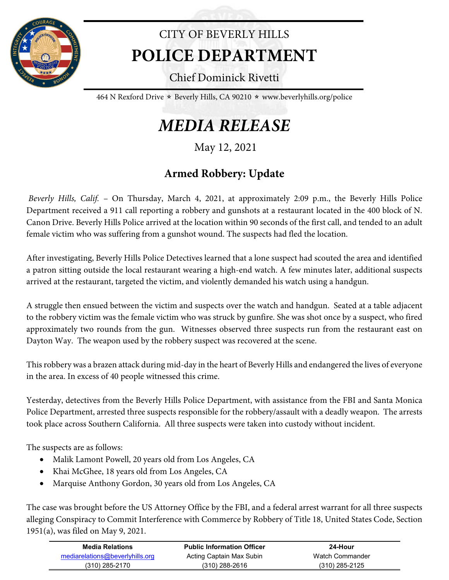

## CITY OF BEVERLY HILLS **POLICE DEPARTMENT**

Chief Dominick Rivetti

464 N Rexford Drive  $\star$  Beverly Hills, CA 90210  $\star$  www.beverlyhills.org/police

## *MEDIA RELEASE*

May 12, 2021

## **Armed Robbery: Update**

*Beverly Hills, Calif.* – On Thursday, March 4, 2021, at approximately 2:09 p.m., the Beverly Hills Police Department received a 911 call reporting a robbery and gunshots at a restaurant located in the 400 block of N. Canon Drive. Beverly Hills Police arrived at the location within 90 seconds of the first call, and tended to an adult female victim who was suffering from a gunshot wound. The suspects had fled the location.

After investigating, Beverly Hills Police Detectives learned that a lone suspect had scouted the area and identified a patron sitting outside the local restaurant wearing a high-end watch. A few minutes later, additional suspects arrived at the restaurant, targeted the victim, and violently demanded his watch using a handgun.

A struggle then ensued between the victim and suspects over the watch and handgun. Seated at a table adjacent to the robbery victim was the female victim who was struck by gunfire. She was shot once by a suspect, who fired approximately two rounds from the gun. Witnesses observed three suspects run from the restaurant east on Dayton Way. The weapon used by the robbery suspect was recovered at the scene.

This robbery was a brazen attack during mid-day in the heart of Beverly Hills and endangered the lives of everyone in the area. In excess of 40 people witnessed this crime.

Yesterday, detectives from the Beverly Hills Police Department, with assistance from the FBI and Santa Monica Police Department, arrested three suspects responsible for the robbery/assault with a deadly weapon. The arrests took place across Southern California. All three suspects were taken into custody without incident.

The suspects are as follows:

- Malik Lamont Powell, 20 years old from Los Angeles, CA
- Khai McGhee, 18 years old from Los Angeles, CA
- Marquise Anthony Gordon, 30 years old from Los Angeles, CA

The case was brought before the US Attorney Office by the FBI, and a federal arrest warrant for all three suspects alleging Conspiracy to Commit Interference with Commerce by Robbery of Title 18, United States Code, Section 1951(a), was filed on May 9, 2021.

| <b>Media Relations</b>          | <b>Public Information Officer</b> | 24-Hour          |  |
|---------------------------------|-----------------------------------|------------------|--|
| mediarelations@beverlyhills.org | Acting Captain Max Subin          | Watch Commander  |  |
| (310) 285-2170                  | $(310)$ 288-2616                  | $(310)$ 285-2125 |  |